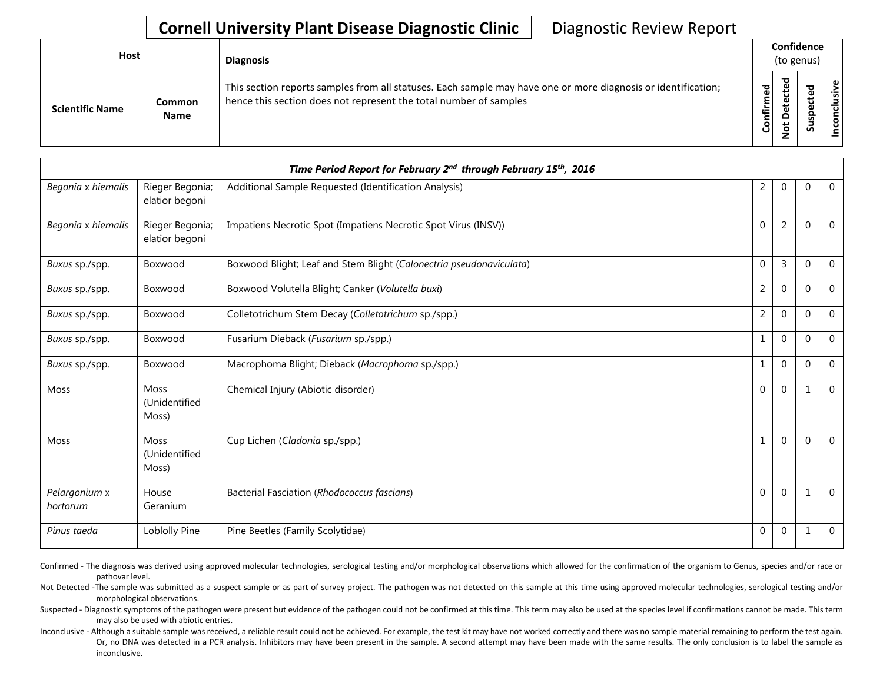## **Cornell University Plant Disease Diagnostic Clinic** | Diagnostic Review Report

| Host                   |                              | <b>Diagnosis</b>                                                                                                                                                                   |           | Confidence<br>(to genus) |    |                 |  |  |
|------------------------|------------------------------|------------------------------------------------------------------------------------------------------------------------------------------------------------------------------------|-----------|--------------------------|----|-----------------|--|--|
| <b>Scientific Name</b> | <b>Common</b><br><b>Name</b> | This section reports samples from all statuses. Each sample may have one or more diagnosis or identification;<br>hence this section does not represent the total number of samples | Confirmed | ъ<br>۵<br>٥<br>پ<br>⇁    | ທັ | ω<br>usiv<br>᠊ᠣ |  |  |

|                           |                                       | Time Period Report for February 2 <sup>nd</sup> through February 15 <sup>th</sup> , 2016 |                |                |              |              |
|---------------------------|---------------------------------------|------------------------------------------------------------------------------------------|----------------|----------------|--------------|--------------|
| Begonia x hiemalis        | Rieger Begonia;<br>elatior begoni     | Additional Sample Requested (Identification Analysis)                                    | $\overline{2}$ | 0              | $\mathbf{0}$ | $\mathbf 0$  |
| Begonia x hiemalis        | Rieger Begonia;<br>elatior begoni     | Impatiens Necrotic Spot (Impatiens Necrotic Spot Virus (INSV))                           | $\mathbf{0}$   | $\overline{2}$ | $\mathbf{0}$ | $\Omega$     |
| Buxus sp./spp.            | Boxwood                               | Boxwood Blight; Leaf and Stem Blight (Calonectria pseudonaviculata)                      | $\mathbf{0}$   | 3              | $\Omega$     | $\Omega$     |
| Buxus sp./spp.            | Boxwood                               | Boxwood Volutella Blight; Canker (Volutella buxi)                                        | $\overline{2}$ | $\Omega$       | $\Omega$     | $\Omega$     |
| Buxus sp./spp.            | Boxwood                               | Colletotrichum Stem Decay (Colletotrichum sp./spp.)                                      | $\overline{2}$ | $\overline{0}$ | $\Omega$     | $\mathbf 0$  |
| Buxus sp./spp.            | Boxwood                               | Fusarium Dieback (Fusarium sp./spp.)                                                     | $\mathbf{1}$   | $\mathbf{0}$   | $\mathbf 0$  | $\mathbf 0$  |
| Buxus sp./spp.            | Boxwood                               | Macrophoma Blight; Dieback (Macrophoma sp./spp.)                                         | $\mathbf 1$    | $\overline{0}$ | $\mathbf 0$  | $\mathbf 0$  |
| <b>Moss</b>               | <b>Moss</b><br>(Unidentified<br>Moss) | Chemical Injury (Abiotic disorder)                                                       | $\mathbf{0}$   | $\overline{0}$ | $\mathbf 1$  | $\mathbf 0$  |
| <b>Moss</b>               | <b>Moss</b><br>(Unidentified<br>Moss) | Cup Lichen (Cladonia sp./spp.)                                                           | 1              | $\overline{0}$ | $\mathbf{0}$ | $\mathbf{0}$ |
| Pelargonium x<br>hortorum | House<br>Geranium                     | Bacterial Fasciation (Rhodococcus fascians)                                              | $\mathbf{0}$   | $\overline{0}$ | $\mathbf{1}$ | $\Omega$     |
| Pinus taeda               | Loblolly Pine                         | Pine Beetles (Family Scolytidae)                                                         | 0              | $\pmb{0}$      | 1            | $\mathbf 0$  |

Confirmed - The diagnosis was derived using approved molecular technologies, serological testing and/or morphological observations which allowed for the confirmation of the organism to Genus, species and/or race or pathovar level.

Not Detected -The sample was submitted as a suspect sample or as part of survey project. The pathogen was not detected on this sample at this time using approved molecular technologies, serological testing and/or morphological observations.

Suspected - Diagnostic symptoms of the pathogen were present but evidence of the pathogen could not be confirmed at this time. This term may also be used at the species level if confirmations cannot be made. This term may also be used with abiotic entries.

Inconclusive - Although a suitable sample was received, a reliable result could not be achieved. For example, the test kit may have not worked correctly and there was no sample material remaining to perform the test again. Or, no DNA was detected in a PCR analysis. Inhibitors may have been present in the sample. A second attempt may have been made with the same results. The only conclusion is to label the sample as inconclusive.